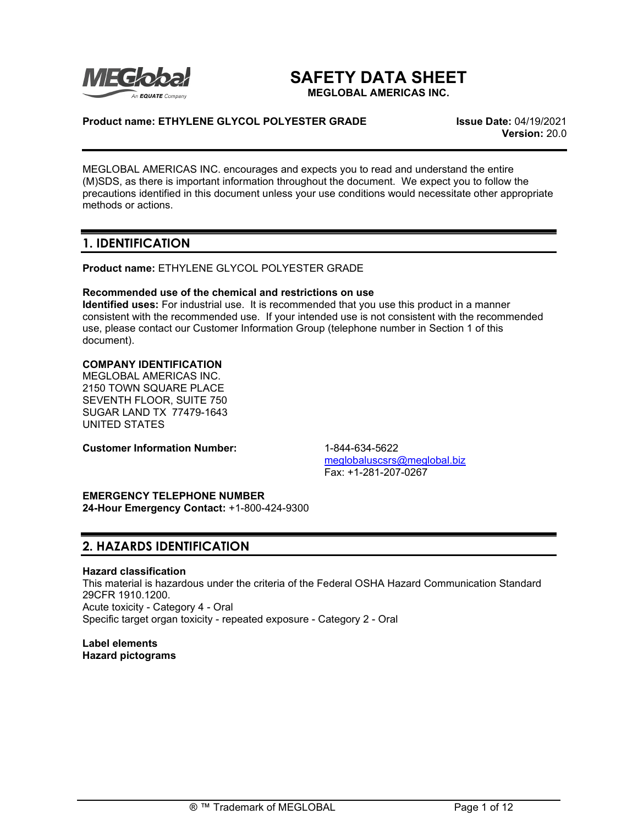

# **SAFETY DATA SHEET**

**MEGLOBAL AMERICAS INC.**

## **Product name: ETHYLENE GLYCOL POLYESTER GRADE Issue Date:** 04/19/2021

**Version:** 20.0

MEGLOBAL AMERICAS INC. encourages and expects you to read and understand the entire (M)SDS, as there is important information throughout the document. We expect you to follow the precautions identified in this document unless your use conditions would necessitate other appropriate methods or actions.

## **1. IDENTIFICATION**

**Product name:** ETHYLENE GLYCOL POLYESTER GRADE

## **Recommended use of the chemical and restrictions on use**

**Identified uses:** For industrial use. It is recommended that you use this product in a manner consistent with the recommended use. If your intended use is not consistent with the recommended use, please contact our Customer Information Group (telephone number in Section 1 of this document).

## **COMPANY IDENTIFICATION**

MEGLOBAL AMERICAS INC. 2150 TOWN SQUARE PLACE SEVENTH FLOOR, SUITE 750 SUGAR LAND TX 77479-1643 UNITED STATES

**Customer Information Number:** 1-844-634-5622

[meglobaluscsrs@meglobal.biz](mailto:meglobaluscsrs@meglobal.biz) Fax: +1-281-207-0267

## **EMERGENCY TELEPHONE NUMBER**

**24-Hour Emergency Contact:** +1-800-424-9300

# **2. HAZARDS IDENTIFICATION**

## **Hazard classification**

This material is hazardous under the criteria of the Federal OSHA Hazard Communication Standard 29CFR 1910.1200. Acute toxicity - Category 4 - Oral Specific target organ toxicity - repeated exposure - Category 2 - Oral

**Label elements Hazard pictograms**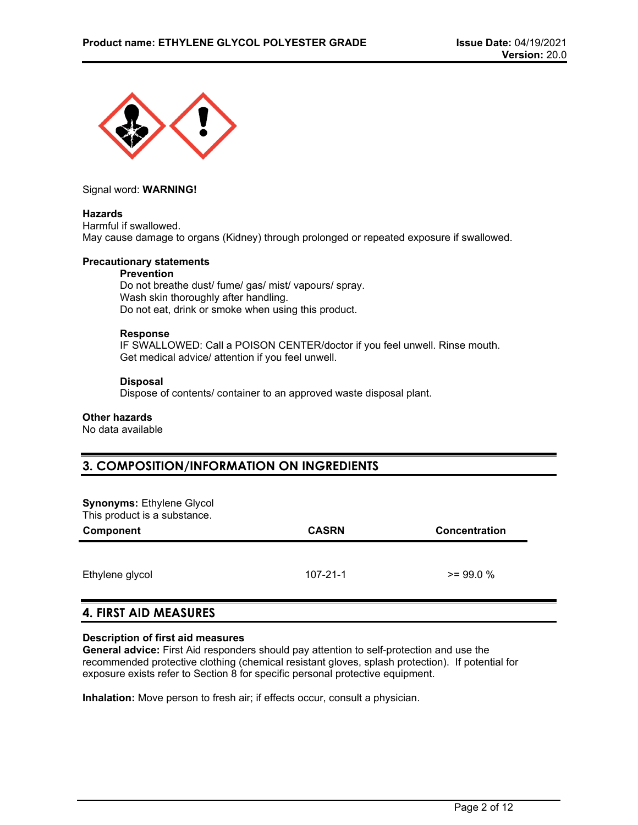

### Signal word: **WARNING!**

### **Hazards**

Harmful if swallowed. May cause damage to organs (Kidney) through prolonged or repeated exposure if swallowed.

## **Precautionary statements**

#### **Prevention**

Do not breathe dust/ fume/ gas/ mist/ vapours/ spray. Wash skin thoroughly after handling. Do not eat, drink or smoke when using this product.

#### **Response**

IF SWALLOWED: Call a POISON CENTER/doctor if you feel unwell. Rinse mouth. Get medical advice/ attention if you feel unwell.

#### **Disposal**

Dispose of contents/ container to an approved waste disposal plant.

## **Other hazards**

No data available

# **3. COMPOSITION/INFORMATION ON INGREDIENTS**

#### **Synonyms:** Ethylene Glycol This product is a substance.

| Component       | <b>CASRN</b>   | Concentration |  |
|-----------------|----------------|---------------|--|
| Ethylene glycol | $107 - 21 - 1$ | $>= 99.0 %$   |  |

## **4. FIRST AID MEASURES**

## **Description of first aid measures**

**General advice:** First Aid responders should pay attention to self-protection and use the recommended protective clothing (chemical resistant gloves, splash protection). If potential for exposure exists refer to Section 8 for specific personal protective equipment.

**Inhalation:** Move person to fresh air; if effects occur, consult a physician.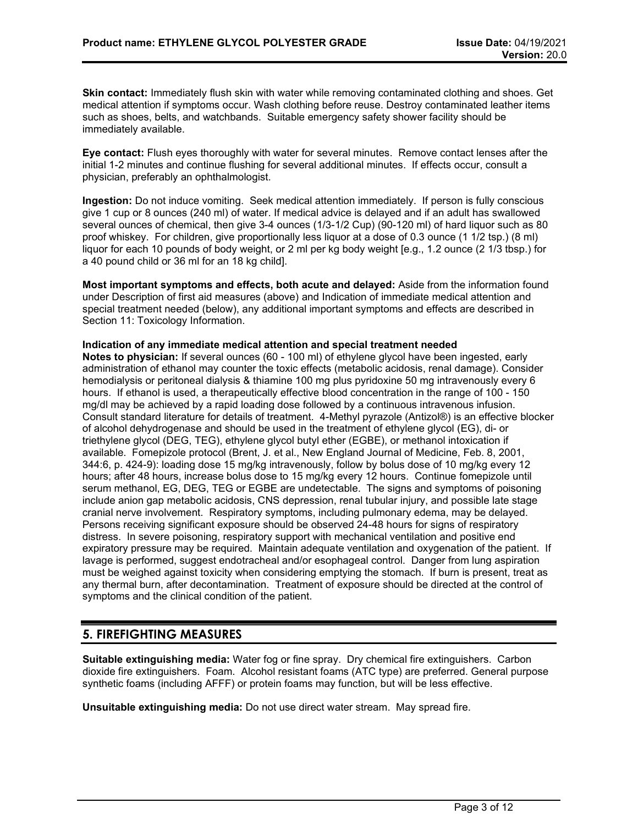**Skin contact:** Immediately flush skin with water while removing contaminated clothing and shoes. Get medical attention if symptoms occur. Wash clothing before reuse. Destroy contaminated leather items such as shoes, belts, and watchbands. Suitable emergency safety shower facility should be immediately available.

**Eye contact:** Flush eyes thoroughly with water for several minutes. Remove contact lenses after the initial 1-2 minutes and continue flushing for several additional minutes. If effects occur, consult a physician, preferably an ophthalmologist.

**Ingestion:** Do not induce vomiting. Seek medical attention immediately. If person is fully conscious give 1 cup or 8 ounces (240 ml) of water. If medical advice is delayed and if an adult has swallowed several ounces of chemical, then give 3-4 ounces (1/3-1/2 Cup) (90-120 ml) of hard liquor such as 80 proof whiskey. For children, give proportionally less liquor at a dose of 0.3 ounce (1 1/2 tsp.) (8 ml) liquor for each 10 pounds of body weight, or 2 ml per kg body weight [e.g., 1.2 ounce (2 1/3 tbsp.) for a 40 pound child or 36 ml for an 18 kg child].

**Most important symptoms and effects, both acute and delayed:** Aside from the information found under Description of first aid measures (above) and Indication of immediate medical attention and special treatment needed (below), any additional important symptoms and effects are described in Section 11: Toxicology Information.

## **Indication of any immediate medical attention and special treatment needed**

**Notes to physician:** If several ounces (60 - 100 ml) of ethylene glycol have been ingested, early administration of ethanol may counter the toxic effects (metabolic acidosis, renal damage). Consider hemodialysis or peritoneal dialysis & thiamine 100 mg plus pyridoxine 50 mg intravenously every 6 hours. If ethanol is used, a therapeutically effective blood concentration in the range of 100 - 150 mg/dl may be achieved by a rapid loading dose followed by a continuous intravenous infusion. Consult standard literature for details of treatment. 4-Methyl pyrazole (Antizol®) is an effective blocker of alcohol dehydrogenase and should be used in the treatment of ethylene glycol (EG), di- or triethylene glycol (DEG, TEG), ethylene glycol butyl ether (EGBE), or methanol intoxication if available. Fomepizole protocol (Brent, J. et al., New England Journal of Medicine, Feb. 8, 2001, 344:6, p. 424-9): loading dose 15 mg/kg intravenously, follow by bolus dose of 10 mg/kg every 12 hours; after 48 hours, increase bolus dose to 15 mg/kg every 12 hours. Continue fomepizole until serum methanol, EG, DEG, TEG or EGBE are undetectable. The signs and symptoms of poisoning include anion gap metabolic acidosis, CNS depression, renal tubular injury, and possible late stage cranial nerve involvement. Respiratory symptoms, including pulmonary edema, may be delayed. Persons receiving significant exposure should be observed 24-48 hours for signs of respiratory distress. In severe poisoning, respiratory support with mechanical ventilation and positive end expiratory pressure may be required. Maintain adequate ventilation and oxygenation of the patient. If lavage is performed, suggest endotracheal and/or esophageal control. Danger from lung aspiration must be weighed against toxicity when considering emptying the stomach. If burn is present, treat as any thermal burn, after decontamination. Treatment of exposure should be directed at the control of symptoms and the clinical condition of the patient.

# **5. FIREFIGHTING MEASURES**

**Suitable extinguishing media:** Water fog or fine spray. Dry chemical fire extinguishers. Carbon dioxide fire extinguishers. Foam. Alcohol resistant foams (ATC type) are preferred. General purpose synthetic foams (including AFFF) or protein foams may function, but will be less effective.

**Unsuitable extinguishing media:** Do not use direct water stream. May spread fire.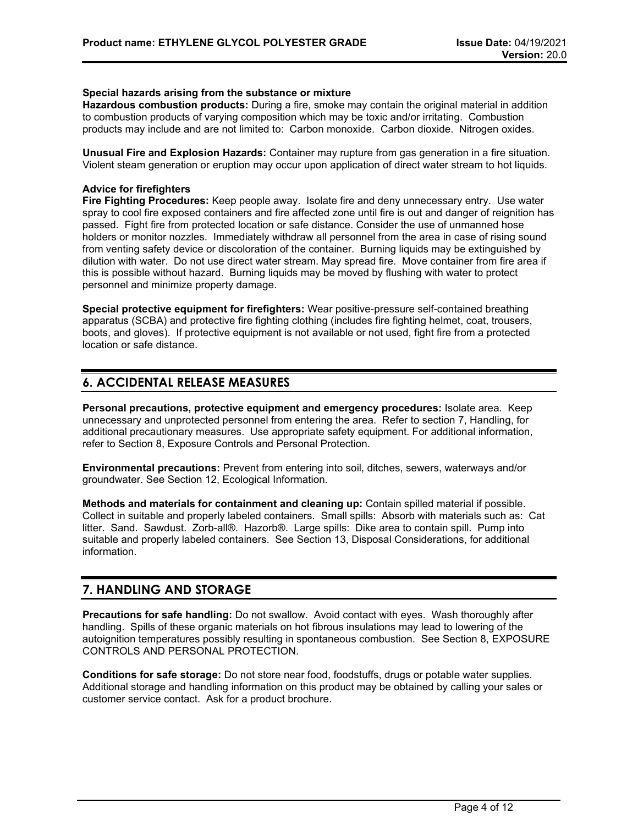### **Special hazards arising from the substance or mixture**

**Hazardous combustion products:** During a fire, smoke may contain the original material in addition to combustion products of varying composition which may be toxic and/or irritating. Combustion products may include and are not limited to: Carbon monoxide. Carbon dioxide. Nitrogen oxides.

**Unusual Fire and Explosion Hazards:** Container may rupture from gas generation in a fire situation. Violent steam generation or eruption may occur upon application of direct water stream to hot liquids.

## **Advice for firefighters**

**Fire Fighting Procedures:** Keep people away. Isolate fire and deny unnecessary entry. Use water spray to cool fire exposed containers and fire affected zone until fire is out and danger of reignition has passed. Fight fire from protected location or safe distance. Consider the use of unmanned hose holders or monitor nozzles. Immediately withdraw all personnel from the area in case of rising sound from venting safety device or discoloration of the container. Burning liquids may be extinguished by dilution with water. Do not use direct water stream. May spread fire. Move container from fire area if this is possible without hazard. Burning liquids may be moved by flushing with water to protect personnel and minimize property damage.

**Special protective equipment for firefighters:** Wear positive-pressure self-contained breathing apparatus (SCBA) and protective fire fighting clothing (includes fire fighting helmet, coat, trousers, boots, and gloves). If protective equipment is not available or not used, fight fire from a protected location or safe distance.

# **6. ACCIDENTAL RELEASE MEASURES**

**Personal precautions, protective equipment and emergency procedures:** Isolate area. Keep unnecessary and unprotected personnel from entering the area. Refer to section 7, Handling, for additional precautionary measures. Use appropriate safety equipment. For additional information, refer to Section 8, Exposure Controls and Personal Protection.

**Environmental precautions:** Prevent from entering into soil, ditches, sewers, waterways and/or groundwater. See Section 12, Ecological Information.

**Methods and materials for containment and cleaning up:** Contain spilled material if possible. Collect in suitable and properly labeled containers. Small spills: Absorb with materials such as: Cat litter. Sand. Sawdust. Zorb-all®. Hazorb®. Large spills: Dike area to contain spill. Pump into suitable and properly labeled containers. See Section 13, Disposal Considerations, for additional information.

## **7. HANDLING AND STORAGE**

**Precautions for safe handling:** Do not swallow. Avoid contact with eyes. Wash thoroughly after handling. Spills of these organic materials on hot fibrous insulations may lead to lowering of the autoignition temperatures possibly resulting in spontaneous combustion. See Section 8, EXPOSURE CONTROLS AND PERSONAL PROTECTION.

**Conditions for safe storage:** Do not store near food, foodstuffs, drugs or potable water supplies. Additional storage and handling information on this product may be obtained by calling your sales or customer service contact. Ask for a product brochure.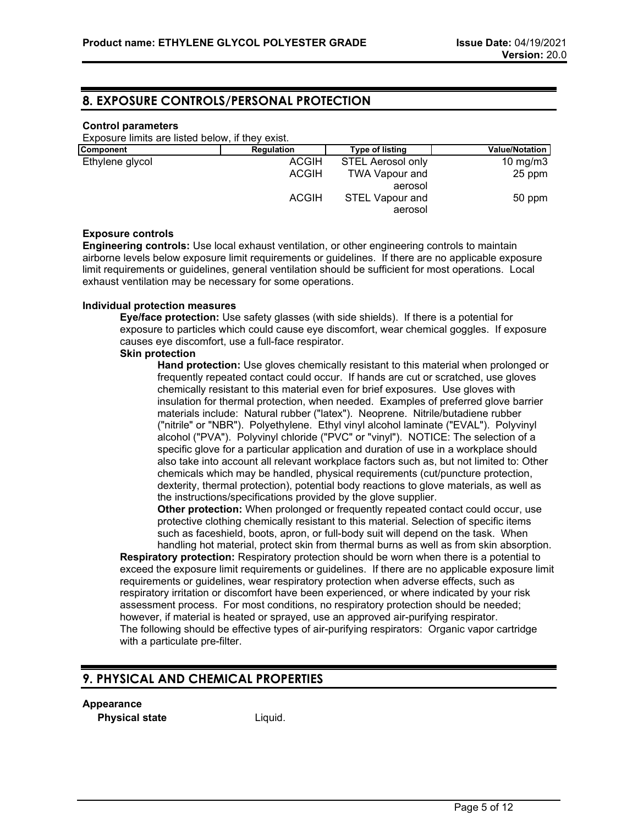## **8. EXPOSURE CONTROLS/PERSONAL PROTECTION**

#### **Control parameters**

Exposure limits are listed below, if they exist.

| <b>Component</b> | Regulation   | <b>Type of listing</b>            | <b>Value/Notation</b> |
|------------------|--------------|-----------------------------------|-----------------------|
| Ethylene glycol  | <b>ACGIH</b> | <b>STEL Aerosol only</b>          | 10 mg/m $3$           |
|                  | <b>ACGIH</b> | <b>TWA Vapour and</b>             | 25 ppm                |
|                  |              | aerosol                           |                       |
|                  | <b>ACGIH</b> | <b>STEL Vapour and</b><br>aerosol | 50 ppm                |

### **Exposure controls**

**Engineering controls:** Use local exhaust ventilation, or other engineering controls to maintain airborne levels below exposure limit requirements or guidelines. If there are no applicable exposure limit requirements or guidelines, general ventilation should be sufficient for most operations. Local exhaust ventilation may be necessary for some operations.

### **Individual protection measures**

**Eye/face protection:** Use safety glasses (with side shields). If there is a potential for exposure to particles which could cause eye discomfort, wear chemical goggles. If exposure causes eye discomfort, use a full-face respirator.

#### **Skin protection**

**Hand protection:** Use gloves chemically resistant to this material when prolonged or frequently repeated contact could occur. If hands are cut or scratched, use gloves chemically resistant to this material even for brief exposures. Use gloves with insulation for thermal protection, when needed. Examples of preferred glove barrier materials include: Natural rubber ("latex"). Neoprene. Nitrile/butadiene rubber ("nitrile" or "NBR"). Polyethylene. Ethyl vinyl alcohol laminate ("EVAL"). Polyvinyl alcohol ("PVA"). Polyvinyl chloride ("PVC" or "vinyl"). NOTICE: The selection of a specific glove for a particular application and duration of use in a workplace should also take into account all relevant workplace factors such as, but not limited to: Other chemicals which may be handled, physical requirements (cut/puncture protection, dexterity, thermal protection), potential body reactions to glove materials, as well as the instructions/specifications provided by the glove supplier.

**Other protection:** When prolonged or frequently repeated contact could occur, use protective clothing chemically resistant to this material. Selection of specific items such as faceshield, boots, apron, or full-body suit will depend on the task. When handling hot material, protect skin from thermal burns as well as from skin absorption.

**Respiratory protection:** Respiratory protection should be worn when there is a potential to exceed the exposure limit requirements or guidelines. If there are no applicable exposure limit requirements or guidelines, wear respiratory protection when adverse effects, such as respiratory irritation or discomfort have been experienced, or where indicated by your risk assessment process. For most conditions, no respiratory protection should be needed; however, if material is heated or sprayed, use an approved air-purifying respirator. The following should be effective types of air-purifying respirators: Organic vapor cartridge with a particulate pre-filter.

## **9. PHYSICAL AND CHEMICAL PROPERTIES**

#### **Appearance**

**Physical state** Liquid.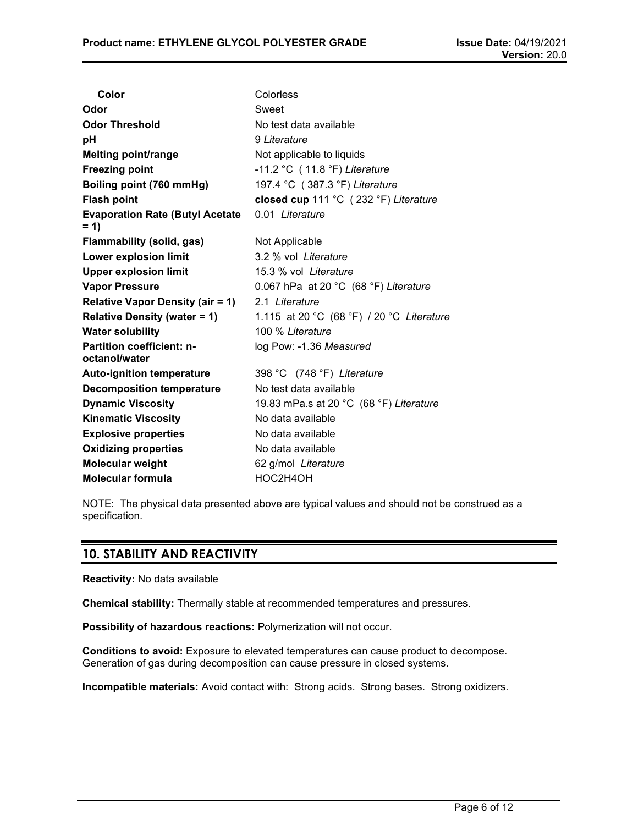| Color                                             | Colorless                                 |
|---------------------------------------------------|-------------------------------------------|
| Odor                                              | Sweet                                     |
| <b>Odor Threshold</b>                             | No test data available                    |
| рH                                                | 9 Literature                              |
| <b>Melting point/range</b>                        | Not applicable to liquids                 |
| <b>Freezing point</b>                             | $-11.2$ °C (11.8 °F) Literature           |
| Boiling point (760 mmHg)                          | 197.4 °C (387.3 °F) Literature            |
| <b>Flash point</b>                                | closed cup 111 °C (232 °F) Literature     |
| <b>Evaporation Rate (Butyl Acetate</b><br>$= 1$   | 0.01 Literature                           |
| <b>Flammability (solid, gas)</b>                  | Not Applicable                            |
| Lower explosion limit                             | 3.2 % vol Literature                      |
| <b>Upper explosion limit</b>                      | 15.3 % vol Literature                     |
| <b>Vapor Pressure</b>                             | 0.067 hPa at 20 °C (68 °F) Literature     |
| <b>Relative Vapor Density (air = 1)</b>           | 2.1 Literature                            |
| <b>Relative Density (water = 1)</b>               | 1.115 at 20 °C (68 °F) / 20 °C Literature |
| <b>Water solubility</b>                           | 100 % Literature                          |
| <b>Partition coefficient: n-</b><br>octanol/water | log Pow: -1.36 Measured                   |
| <b>Auto-ignition temperature</b>                  | 398 °C (748 °F) Literature                |
| <b>Decomposition temperature</b>                  | No test data available                    |
| <b>Dynamic Viscosity</b>                          | 19.83 mPa.s at 20 °C (68 °F) Literature   |
| <b>Kinematic Viscosity</b>                        | No data available                         |
| <b>Explosive properties</b>                       | No data available                         |
| <b>Oxidizing properties</b>                       | No data available                         |
| <b>Molecular weight</b>                           | 62 g/mol Literature                       |
| <b>Molecular formula</b>                          | HOC2H4OH                                  |

NOTE: The physical data presented above are typical values and should not be construed as a specification.

# **10. STABILITY AND REACTIVITY**

**Reactivity:** No data available

**Chemical stability:** Thermally stable at recommended temperatures and pressures.

**Possibility of hazardous reactions:** Polymerization will not occur.

**Conditions to avoid:** Exposure to elevated temperatures can cause product to decompose. Generation of gas during decomposition can cause pressure in closed systems.

**Incompatible materials:** Avoid contact with: Strong acids. Strong bases. Strong oxidizers.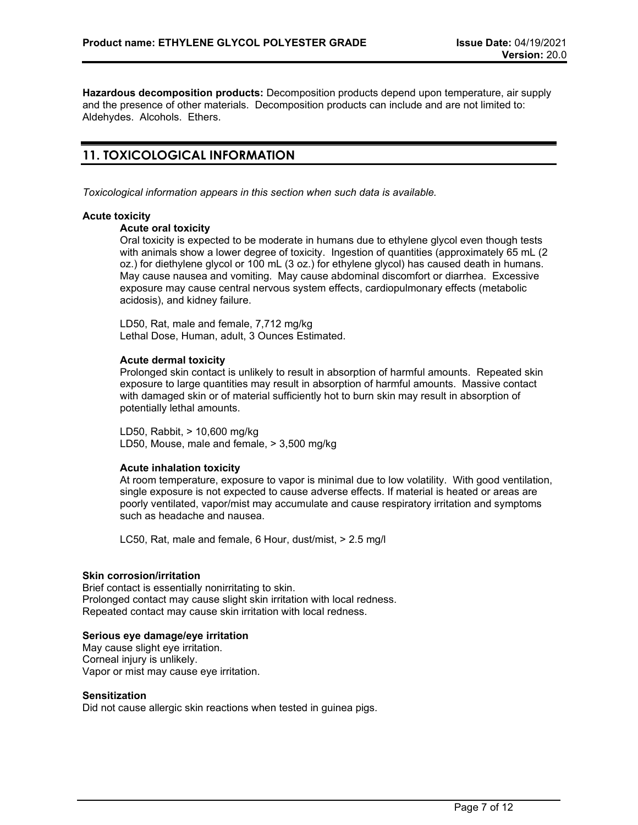**Hazardous decomposition products:** Decomposition products depend upon temperature, air supply and the presence of other materials. Decomposition products can include and are not limited to: Aldehydes. Alcohols. Ethers.

# **11. TOXICOLOGICAL INFORMATION**

*Toxicological information appears in this section when such data is available.*

#### **Acute toxicity**

## **Acute oral toxicity**

Oral toxicity is expected to be moderate in humans due to ethylene glycol even though tests with animals show a lower degree of toxicity. Ingestion of quantities (approximately 65 mL (2 oz.) for diethylene glycol or 100 mL (3 oz.) for ethylene glycol) has caused death in humans. May cause nausea and vomiting. May cause abdominal discomfort or diarrhea. Excessive exposure may cause central nervous system effects, cardiopulmonary effects (metabolic acidosis), and kidney failure.

LD50, Rat, male and female, 7,712 mg/kg Lethal Dose, Human, adult, 3 Ounces Estimated.

#### **Acute dermal toxicity**

Prolonged skin contact is unlikely to result in absorption of harmful amounts. Repeated skin exposure to large quantities may result in absorption of harmful amounts. Massive contact with damaged skin or of material sufficiently hot to burn skin may result in absorption of potentially lethal amounts.

LD50, Rabbit, > 10,600 mg/kg LD50, Mouse, male and female, > 3,500 mg/kg

## **Acute inhalation toxicity**

At room temperature, exposure to vapor is minimal due to low volatility. With good ventilation, single exposure is not expected to cause adverse effects. If material is heated or areas are poorly ventilated, vapor/mist may accumulate and cause respiratory irritation and symptoms such as headache and nausea.

LC50, Rat, male and female, 6 Hour, dust/mist, > 2.5 mg/l

#### **Skin corrosion/irritation**

Brief contact is essentially nonirritating to skin. Prolonged contact may cause slight skin irritation with local redness. Repeated contact may cause skin irritation with local redness.

## **Serious eye damage/eye irritation**

May cause slight eye irritation. Corneal injury is unlikely. Vapor or mist may cause eye irritation.

## **Sensitization**

Did not cause allergic skin reactions when tested in guinea pigs.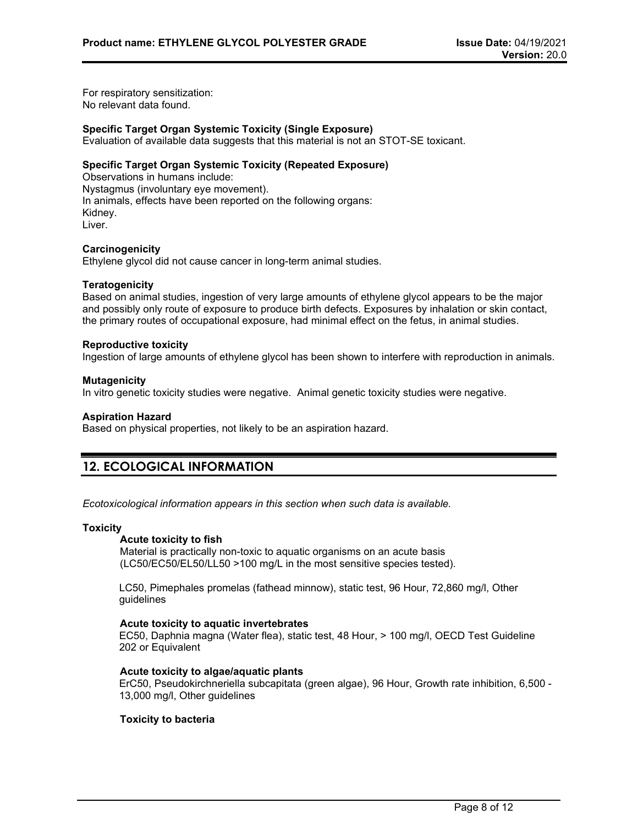For respiratory sensitization: No relevant data found.

## **Specific Target Organ Systemic Toxicity (Single Exposure)**

Evaluation of available data suggests that this material is not an STOT-SE toxicant.

### **Specific Target Organ Systemic Toxicity (Repeated Exposure)**

Observations in humans include: Nystagmus (involuntary eye movement). In animals, effects have been reported on the following organs: Kidney. Liver.

#### **Carcinogenicity**

Ethylene glycol did not cause cancer in long-term animal studies.

#### **Teratogenicity**

Based on animal studies, ingestion of very large amounts of ethylene glycol appears to be the major and possibly only route of exposure to produce birth defects. Exposures by inhalation or skin contact, the primary routes of occupational exposure, had minimal effect on the fetus, in animal studies.

#### **Reproductive toxicity**

Ingestion of large amounts of ethylene glycol has been shown to interfere with reproduction in animals.

#### **Mutagenicity**

In vitro genetic toxicity studies were negative. Animal genetic toxicity studies were negative.

#### **Aspiration Hazard**

Based on physical properties, not likely to be an aspiration hazard.

# **12. ECOLOGICAL INFORMATION**

*Ecotoxicological information appears in this section when such data is available.*

#### **Toxicity**

## **Acute toxicity to fish**

Material is practically non-toxic to aquatic organisms on an acute basis (LC50/EC50/EL50/LL50 >100 mg/L in the most sensitive species tested).

LC50, Pimephales promelas (fathead minnow), static test, 96 Hour, 72,860 mg/l, Other guidelines

#### **Acute toxicity to aquatic invertebrates**

EC50, Daphnia magna (Water flea), static test, 48 Hour, > 100 mg/l, OECD Test Guideline 202 or Equivalent

### **Acute toxicity to algae/aquatic plants**

ErC50, Pseudokirchneriella subcapitata (green algae), 96 Hour, Growth rate inhibition, 6,500 - 13,000 mg/l, Other guidelines

## **Toxicity to bacteria**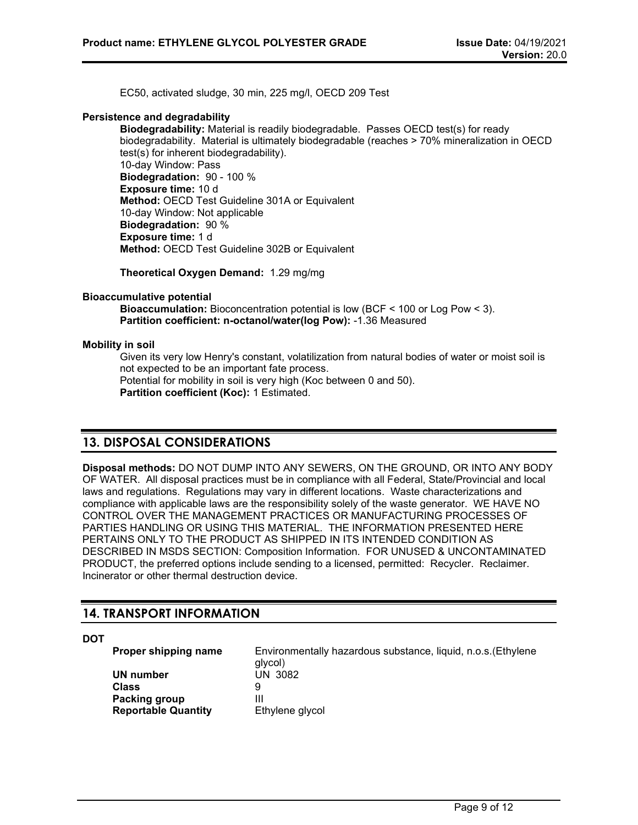EC50, activated sludge, 30 min, 225 mg/l, OECD 209 Test

#### **Persistence and degradability**

**Biodegradability:** Material is readily biodegradable. Passes OECD test(s) for ready biodegradability. Material is ultimately biodegradable (reaches > 70% mineralization in OECD test(s) for inherent biodegradability). 10-day Window: Pass **Biodegradation:** 90 - 100 % **Exposure time:** 10 d **Method:** OECD Test Guideline 301A or Equivalent 10-day Window: Not applicable **Biodegradation:** 90 % **Exposure time:** 1 d **Method:** OECD Test Guideline 302B or Equivalent

**Theoretical Oxygen Demand:** 1.29 mg/mg

### **Bioaccumulative potential**

**Bioaccumulation:** Bioconcentration potential is low (BCF < 100 or Log Pow < 3). **Partition coefficient: n-octanol/water(log Pow):** -1.36 Measured

#### **Mobility in soil**

Given its very low Henry's constant, volatilization from natural bodies of water or moist soil is not expected to be an important fate process. Potential for mobility in soil is very high (Koc between 0 and 50). **Partition coefficient (Koc):** 1 Estimated.

# **13. DISPOSAL CONSIDERATIONS**

**Disposal methods:** DO NOT DUMP INTO ANY SEWERS, ON THE GROUND, OR INTO ANY BODY OF WATER. All disposal practices must be in compliance with all Federal, State/Provincial and local laws and regulations. Regulations may vary in different locations. Waste characterizations and compliance with applicable laws are the responsibility solely of the waste generator. WE HAVE NO CONTROL OVER THE MANAGEMENT PRACTICES OR MANUFACTURING PROCESSES OF PARTIES HANDLING OR USING THIS MATERIAL. THE INFORMATION PRESENTED HERE PERTAINS ONLY TO THE PRODUCT AS SHIPPED IN ITS INTENDED CONDITION AS DESCRIBED IN MSDS SECTION: Composition Information. FOR UNUSED & UNCONTAMINATED PRODUCT, the preferred options include sending to a licensed, permitted: Recycler. Reclaimer. Incinerator or other thermal destruction device.

## **14. TRANSPORT INFORMATION**

**DOT**

**Proper shipping name** Environmentally hazardous substance, liquid, n.o.s.(Ethylene glycol)<br>UN 3082 **UN number** U<br>Class 9 **Class** 9 **Packing group**<br> **Reportable Quantity** Ethylene glycol **Reportable Quantity**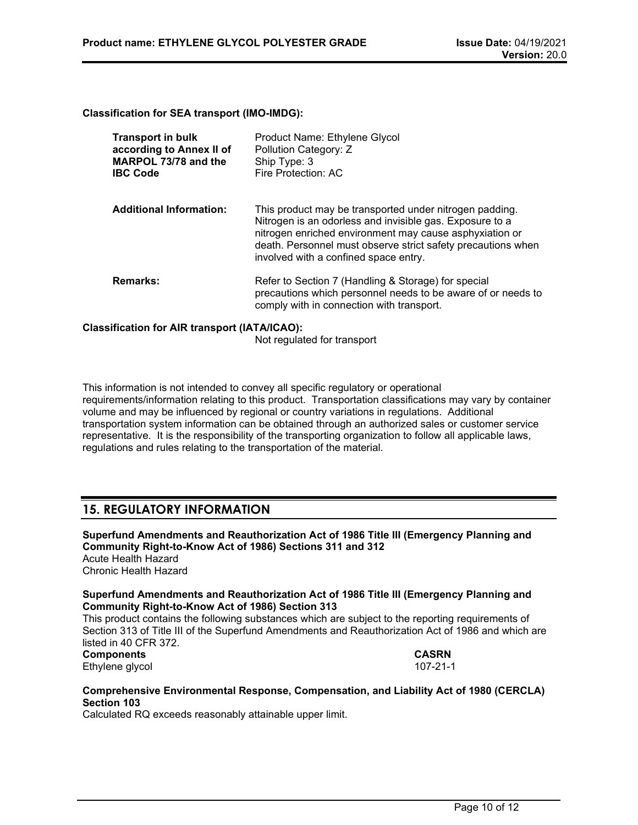**Classification for SEA transport (IMO-IMDG):**

| <b>Transport in bulk</b><br>according to Annex II of<br>MARPOL 73/78 and the<br><b>IBC Code</b> | Product Name: Ethylene Glycol<br>Pollution Category: Z<br>Ship Type: 3<br>Fire Protection: AC                                                                                                                                                                                           |
|-------------------------------------------------------------------------------------------------|-----------------------------------------------------------------------------------------------------------------------------------------------------------------------------------------------------------------------------------------------------------------------------------------|
| <b>Additional Information:</b>                                                                  | This product may be transported under nitrogen padding.<br>Nitrogen is an odorless and invisible gas. Exposure to a<br>nitrogen enriched environment may cause asphyxiation or<br>death. Personnel must observe strict safety precautions when<br>involved with a confined space entry. |
| <b>Remarks:</b>                                                                                 | Refer to Section 7 (Handling & Storage) for special<br>precautions which personnel needs to be aware of or needs to<br>comply with in connection with transport.                                                                                                                        |

### **Classification for AIR transport (IATA/ICAO):**

Not regulated for transport

This information is not intended to convey all specific regulatory or operational requirements/information relating to this product. Transportation classifications may vary by container volume and may be influenced by regional or country variations in regulations. Additional transportation system information can be obtained through an authorized sales or customer service representative. It is the responsibility of the transporting organization to follow all applicable laws, regulations and rules relating to the transportation of the material.

## **15. REGULATORY INFORMATION**

**Superfund Amendments and Reauthorization Act of 1986 Title III (Emergency Planning and Community Right-to-Know Act of 1986) Sections 311 and 312** Acute Health Hazard Chronic Health Hazard

## **Superfund Amendments and Reauthorization Act of 1986 Title III (Emergency Planning and Community Right-to-Know Act of 1986) Section 313**

This product contains the following substances which are subject to the reporting requirements of Section 313 of Title III of the Superfund Amendments and Reauthorization Act of 1986 and which are listed in 40 CFR 372.

#### **Components CASRN** Ethylene glycol

## **Comprehensive Environmental Response, Compensation, and Liability Act of 1980 (CERCLA) Section 103**

Calculated RQ exceeds reasonably attainable upper limit.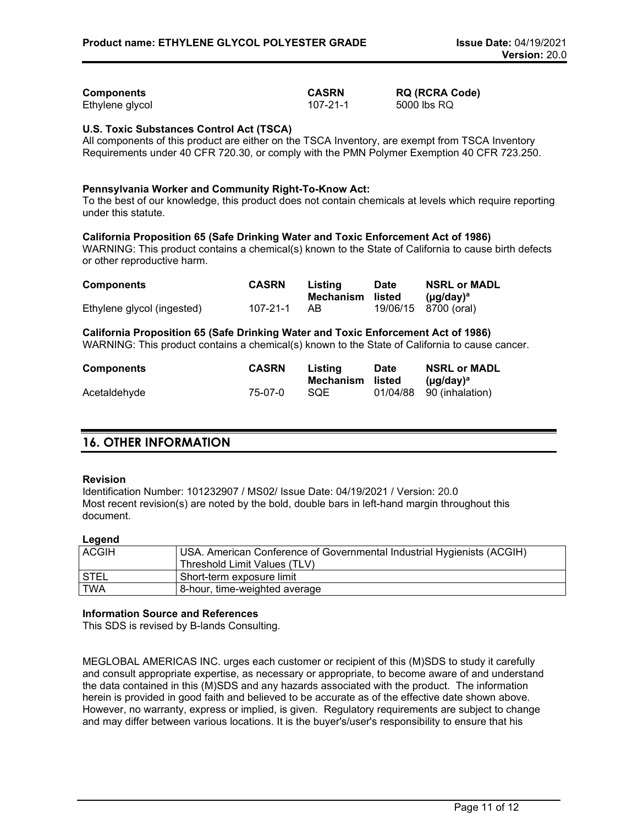| Components      | <b>CASRN</b> | <b>RQ (RCRA Code)</b> |
|-----------------|--------------|-----------------------|
| Ethylene glycol | 107-21-1     | 5000 lbs RQ           |

## **U.S. Toxic Substances Control Act (TSCA)**

All components of this product are either on the TSCA Inventory, are exempt from TSCA Inventory Requirements under 40 CFR 720.30, or comply with the PMN Polymer Exemption 40 CFR 723.250.

#### **Pennsylvania Worker and Community Right-To-Know Act:**

To the best of our knowledge, this product does not contain chemicals at levels which require reporting under this statute.

#### **California Proposition 65 (Safe Drinking Water and Toxic Enforcement Act of 1986)**

WARNING: This product contains a chemical(s) known to the State of California to cause birth defects or other reproductive harm.

| <b>Components</b>          | <b>CASRN</b> | Listing          | <b>Date</b> | <b>NSRL or MADL</b>         |
|----------------------------|--------------|------------------|-------------|-----------------------------|
|                            |              | Mechanism listed |             | ( $\mu$ q/day) <sup>a</sup> |
| Ethylene glycol (ingested) | 107-21-1     | AB.              |             | 19/06/15 8700 (oral)        |

#### **California Proposition 65 (Safe Drinking Water and Toxic Enforcement Act of 1986)**

WARNING: This product contains a chemical(s) known to the State of California to cause cancer.

| <b>Components</b> | <b>CASRN</b> | Listing<br>Mechanism listed | <b>Date</b> | <b>NSRL or MADL</b><br>$(\mu q / d \text{av})^a$ |
|-------------------|--------------|-----------------------------|-------------|--------------------------------------------------|
| Acetaldehyde      | 75-07-0      | <b>SOE</b>                  |             | 01/04/88 90 (inhalation)                         |

# **16. OTHER INFORMATION**

#### **Revision**

Identification Number: 101232907 / MS02/ Issue Date: 04/19/2021 / Version: 20.0 Most recent revision(s) are noted by the bold, double bars in left-hand margin throughout this document.

## **Legend**

| <b>ACGIH</b> | USA. American Conference of Governmental Industrial Hygienists (ACGIH)<br>Threshold Limit Values (TLV) |
|--------------|--------------------------------------------------------------------------------------------------------|
| STEL         | Short-term exposure limit                                                                              |
| <b>TWA</b>   | 8-hour, time-weighted average                                                                          |

## **Information Source and References**

This SDS is revised by B-lands Consulting.

MEGLOBAL AMERICAS INC. urges each customer or recipient of this (M)SDS to study it carefully and consult appropriate expertise, as necessary or appropriate, to become aware of and understand the data contained in this (M)SDS and any hazards associated with the product. The information herein is provided in good faith and believed to be accurate as of the effective date shown above. However, no warranty, express or implied, is given. Regulatory requirements are subject to change and may differ between various locations. It is the buyer's/user's responsibility to ensure that his